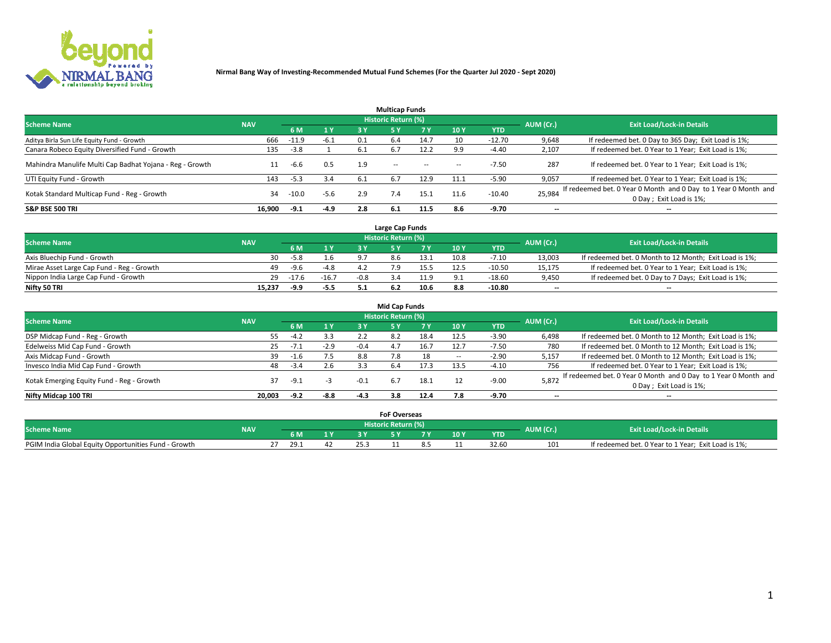

|                                                          |            |         |        |      | <b>Multicap Funds</b> |           |      |            |                          |                                                                                             |
|----------------------------------------------------------|------------|---------|--------|------|-----------------------|-----------|------|------------|--------------------------|---------------------------------------------------------------------------------------------|
| <b>Scheme Name</b>                                       | <b>NAV</b> |         |        |      | Historic Return (%)   |           |      |            | AUM (Cr.)                | <b>Exit Load/Lock-in Details</b>                                                            |
|                                                          |            | 6 M     | 1 Y    | 3 Y  |                       | <b>7Y</b> | 10Y  | <b>YTD</b> |                          |                                                                                             |
| Aditya Birla Sun Life Equity Fund - Growth               | 666        | $-11.9$ | $-6.1$ | 0.1  | 6.4                   | 14.7      | 10   | $-12.70$   | 9,648                    | If redeemed bet. 0 Day to 365 Day; Exit Load is 1%;                                         |
| Canara Robeco Equity Diversified Fund - Growth           | 135        | $-3.8$  |        | -6.1 | 6.7                   | 12.2      | 9.9  | $-4.40$    | 2,107                    | If redeemed bet. 0 Year to 1 Year; Exit Load is 1%;                                         |
| Mahindra Manulife Multi Cap Badhat Yojana - Reg - Growth |            | -6.6    | 0.5    | 1.9  | $\sim$ $\sim$         | $\sim$    | --   | $-7.50$    | 287                      | If redeemed bet. 0 Year to 1 Year; Exit Load is 1%;                                         |
| UTI Equity Fund - Growth                                 | 143        | $-5.3$  | 3.4    | -6.1 | 6.7                   | 12.9      | 11.1 | $-5.90$    | 9,057                    | If redeemed bet. 0 Year to 1 Year; Exit Load is 1%;                                         |
| Kotak Standard Multicap Fund - Reg - Growth              | 34         | $-10.0$ | $-5.6$ | 2.9  | 7.4                   | 15.1      | 11.6 | $-10.40$   | 25,984                   | If redeemed bet. 0 Year 0 Month and 0 Day to 1 Year 0 Month and<br>0 Day ; Exit Load is 1%; |
| <b>S&amp;P BSE 500 TRI</b>                               | 16.900     | $-9.1$  | $-4.9$ | 2.8  | 6.1                   | 11.5      | 8.6  | -9.70      | $\overline{\phantom{a}}$ | $- -$                                                                                       |

|                                           |            |         |         |        | Large Cap Funds     |      |      |            |                          |                                                        |
|-------------------------------------------|------------|---------|---------|--------|---------------------|------|------|------------|--------------------------|--------------------------------------------------------|
| <b>Scheme Name</b>                        | <b>NAV</b> |         |         |        | Historic Return (%) |      |      |            | AUM (Cr.)                | <b>Exit Load/Lock-in Details</b>                       |
|                                           |            |         | 1 Y     |        |                     |      | 10 Y | <b>YTD</b> |                          |                                                        |
| Axis Bluechip Fund - Growth               | 30         | $-5.8$  | 1.6     |        |                     |      | 10.8 | $-7.10$    | 13,003                   | If redeemed bet. 0 Month to 12 Month; Exit Load is 1%; |
| Mirae Asset Large Cap Fund - Reg - Growth | 49         | -9.6    | $-4.8$  |        |                     |      | 12.5 | $-10.50$   | 15,175                   | If redeemed bet. 0 Year to 1 Year; Exit Load is 1%;    |
| Nippon India Large Cap Fund - Growth      | 29         | $-17.6$ | $-16.7$ | $-0.8$ |                     |      |      | $-18.60$   | 9,450                    | If redeemed bet. 0 Day to 7 Days; Exit Load is 1%;     |
| Nifty 50 TRI                              | 15,237     | -9.9    | -5.5    |        |                     | 10.6 |      | $-10.80$   | $\overline{\phantom{a}}$ | $- -$                                                  |

|                                           |            |        |        |        | <b>Mid Cap Funds</b> |      |                 |            |           |                                                                 |
|-------------------------------------------|------------|--------|--------|--------|----------------------|------|-----------------|------------|-----------|-----------------------------------------------------------------|
| <b>Scheme Name</b>                        | <b>NAV</b> |        |        |        | Historic Return (%)  |      |                 |            | AUM (Cr.) | <b>Exit Load/Lock-in Details</b>                                |
|                                           |            | 6 M    | 1Y     | 3 Y    |                      |      | 10 <sub>Y</sub> | <b>YTD</b> |           |                                                                 |
| DSP Midcap Fund - Reg - Growth            | 55         | $-4.2$ | 3.3    | 2.2    | 8.2                  | 18.4 | 12.5            | $-3.90$    | 6,498     | If redeemed bet. 0 Month to 12 Month; Exit Load is 1%;          |
| Edelweiss Mid Cap Fund - Growth           | 25         | $-7.1$ | $-2.9$ | $-0.4$ | 4.7                  | 16.7 | 12.7            | $-7.50$    | 780       | If redeemed bet. 0 Month to 12 Month; Exit Load is 1%;          |
| Axis Midcap Fund - Growth                 | 39         | -1.6   | 7.5    | 8.8    |                      | 18   | $\sim$          | $-2.90$    | 5,157     | If redeemed bet. 0 Month to 12 Month; Exit Load is 1%;          |
| Invesco India Mid Cap Fund - Growth       | 48         | $-3.4$ | 2.6    | 3.3    | 6.4                  | 17.3 | 13.5            | $-4.10$    | 756       | If redeemed bet. 0 Year to 1 Year; Exit Load is 1%;             |
| Kotak Emerging Equity Fund - Reg - Growth | 37         |        |        | $-0.1$ |                      | 18.1 |                 | $-9.00$    | 5,872     | If redeemed bet. 0 Year 0 Month and 0 Day to 1 Year 0 Month and |
|                                           |            | -9.1   | - 3    |        | -6.7                 |      |                 |            |           | 0 Day; Exit Load is 1%;                                         |
| Nifty Midcap 100 TRI                      | 20.003     | $-9.2$ | $-8.8$ | $-4.3$ | 3.8                  | 12.4 | 7.8             | $-9.70$    | $-$       | $- -$                                                           |

|                                                      |            |      |              | <b>FoF Overseas</b>   |       |      |            |           |                                                     |
|------------------------------------------------------|------------|------|--------------|-----------------------|-------|------|------------|-----------|-----------------------------------------------------|
| <b>Scheme Name</b>                                   | <b>NAV</b> |      |              | Historic Return (%) ' |       |      |            | AUM (Cr.) | <b>Exit Load/Lock-in Details</b>                    |
|                                                      |            |      | $\mathbf{v}$ |                       | - - - | 10 Y | <b>YTD</b> |           |                                                     |
| PGIM India Global Equity Opportunities Fund - Growth |            | 29.1 |              |                       |       |      | 32.60      | 101       | If redeemed bet. 0 Year to 1 Year; Exit Load is 1%; |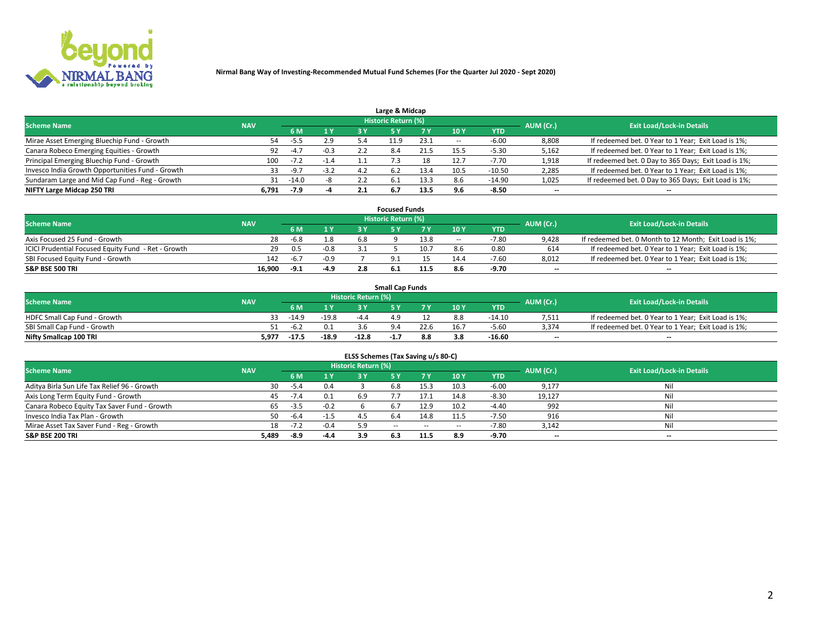

| Large & Midcap                                   |            |        |                |     |                            |      |                 |            |           |                                                      |  |  |  |  |
|--------------------------------------------------|------------|--------|----------------|-----|----------------------------|------|-----------------|------------|-----------|------------------------------------------------------|--|--|--|--|
| <b>Scheme Name</b>                               | <b>NAV</b> |        |                |     | <b>Historic Return (%)</b> |      |                 |            | AUM (Cr.) | <b>Exit Load/Lock-in Details</b>                     |  |  |  |  |
|                                                  |            | 6 M    | 1 <sup>Y</sup> | 3 V |                            |      | 10 <sup>Y</sup> | <b>YTD</b> |           |                                                      |  |  |  |  |
| Mirae Asset Emerging Bluechip Fund - Growth      | 54         | -5.5   | 2.9            |     | 11.9                       | 23.1 | $\sim$          | -6.00      | 8,808     | If redeemed bet. 0 Year to 1 Year; Exit Load is 1%;  |  |  |  |  |
| Canara Robeco Emerging Equities - Growth         | 92         | $-4.7$ | $-0.3$         |     | 8.4                        | 21.5 | 15.5            | -5.30      | 5,162     | If redeemed bet. 0 Year to 1 Year; Exit Load is 1%;  |  |  |  |  |
| Principal Emerging Bluechip Fund - Growth        | 100        | $-7.2$ | $-1.4$         |     |                            | 18   | 12.7            | $-7.70$    | 1,918     | If redeemed bet. 0 Day to 365 Days; Exit Load is 1%; |  |  |  |  |
| Invesco India Growth Opportunities Fund - Growth | 33         | $-9.7$ | $-3.2$         | 4.2 | 6.2                        |      | 10.5            | $-10.50$   | 2,285     | If redeemed bet. 0 Year to 1 Year; Exit Load is 1%;  |  |  |  |  |
| Sundaram Large and Mid Cap Fund - Reg - Growth   | 31         | -14.0  |                | 2.2 | b.1                        | 13.3 | 8.6             | $-14.90$   | 1,025     | If redeemed bet. 0 Day to 365 Days; Exit Load is 1%; |  |  |  |  |
| NIFTY Large Midcap 250 TRI                       | 6.791      | -7.9   |                |     | 6.7                        | 13.5 | 9.6             | $-8.50$    | $- -$     | $- -$                                                |  |  |  |  |

|                                                     |            |        |        |     | <b>Focused Funds</b>       |      |        |            |                          |                                                        |
|-----------------------------------------------------|------------|--------|--------|-----|----------------------------|------|--------|------------|--------------------------|--------------------------------------------------------|
| <b>Scheme Name</b>                                  | <b>NAV</b> |        |        |     | <b>Historic Return (%)</b> |      |        |            | AUM (Cr.)                | <b>Exit Load/Lock-in Details</b>                       |
|                                                     |            | 6 M    | 1 Y    |     |                            |      | 10 Y   | <b>YTD</b> |                          |                                                        |
| Axis Focused 25 Fund - Growth                       | 28         | $-6.8$ | 1.8    | 6.8 |                            | 13.8 | $\sim$ | -7.80      | 9,428                    | If redeemed bet. 0 Month to 12 Month; Exit Load is 1%; |
| ICICI Prudential Focused Equity Fund - Ret - Growth | 29         | 0.5    | $-0.8$ |     |                            | 10.7 |        | 0.80       | 614                      | If redeemed bet. 0 Year to 1 Year; Exit Load is 1%;    |
| SBI Focused Equity Fund - Growth                    | 142        | $-6.7$ | $-0.9$ |     |                            |      | 14.4   | $-7.60$    | 8,012                    | If redeemed bet. 0 Year to 1 Year; Exit Load is 1%;    |
| S&P BSE 500 TRI                                     | 16.900     | -9.1   | -4.9   |     |                            | 11.5 |        | -9.70      | $\overline{\phantom{a}}$ | $- -$                                                  |

|                              |            |         |         |                            | <b>Small Cap Funds</b> |      |        |            |           |                                                     |
|------------------------------|------------|---------|---------|----------------------------|------------------------|------|--------|------------|-----------|-----------------------------------------------------|
| <b>Scheme Name</b>           | <b>NAV</b> |         |         | <b>Historic Return (%)</b> |                        |      |        |            | AUM (Cr.) | <b>Exit Load/Lock-in Details</b>                    |
|                              |            | 6 M     | 1 Y     |                            |                        |      | $-10Y$ | <b>YTD</b> |           |                                                     |
| HDFC Small Cap Fund - Growth | 33         | $-14.9$ | $-19.8$ | $-4'$                      |                        |      | 8.8    | -14.10     | 7,511     | If redeemed bet. 0 Year to 1 Year; Exit Load is 1%; |
| SBI Small Cap Fund - Growth  | 51.        | -6.2    |         |                            |                        | 22.6 | 16.7   | $-5.60$    | 3,374     | If redeemed bet. 0 Year to 1 Year; Exit Load is 1%; |
| Nifty Smallcap 100 TRI       | 5.977      | $-17.5$ | $-18.9$ | $-12.8$                    | -1.,                   | 8.8  |        | $-16.60$   | $- -$     | $- -$                                               |

| ELSS Schemes (Tax Saving u/s 80-C)           |            |        |        |                            |            |        |                          |            |                          |                                  |  |  |  |
|----------------------------------------------|------------|--------|--------|----------------------------|------------|--------|--------------------------|------------|--------------------------|----------------------------------|--|--|--|
| <b>Scheme Name</b>                           | <b>NAV</b> |        |        | <b>Historic Return (%)</b> |            |        |                          |            | AUM (Cr.)                | <b>Exit Load/Lock-in Details</b> |  |  |  |
|                                              |            | - 6 M  | 1Y     | 73 V                       | <b>5Y</b>  | 7 Y    | 10 Y                     | <b>YTD</b> |                          |                                  |  |  |  |
| Aditya Birla Sun Life Tax Relief 96 - Growth | 30         | $-5.4$ | 0.4    |                            | 6.8        | 15.3   | 10.3                     | $-6.00$    | 9,177                    | Nil                              |  |  |  |
| Axis Long Term Equity Fund - Growth          | 45         | $-7.4$ | 0.1    | 6.9                        |            | 17.1   | 14.8                     | $-8.30$    | 19,127                   | Nil                              |  |  |  |
| Canara Robeco Equity Tax Saver Fund - Growth | 65         | $-3.5$ | $-0.2$ |                            | 6.7        | 12.9   | 10.2                     | $-4.40$    | 992                      | Nil                              |  |  |  |
| Invesco India Tax Plan - Growth              | 50         | $-6.4$ | $-1.5$ | 4.                         |            | 14.8   | 11.5                     | $-7.50$    | 916                      | Nil                              |  |  |  |
| Mirae Asset Tax Saver Fund - Reg - Growth    | 18.        | $-7.2$ | $-0.4$ | 5.9                        | $\sim$ $-$ | $\sim$ | $\overline{\phantom{a}}$ | -7.80      | 3,142                    | Nil                              |  |  |  |
| S&P BSE 200 TRI                              | 5,489      | -8.9   | $-4.4$ | 3.9                        |            | 11.5   | 8.9                      | $-9.70$    | $\overline{\phantom{a}}$ | $- -$                            |  |  |  |

# 2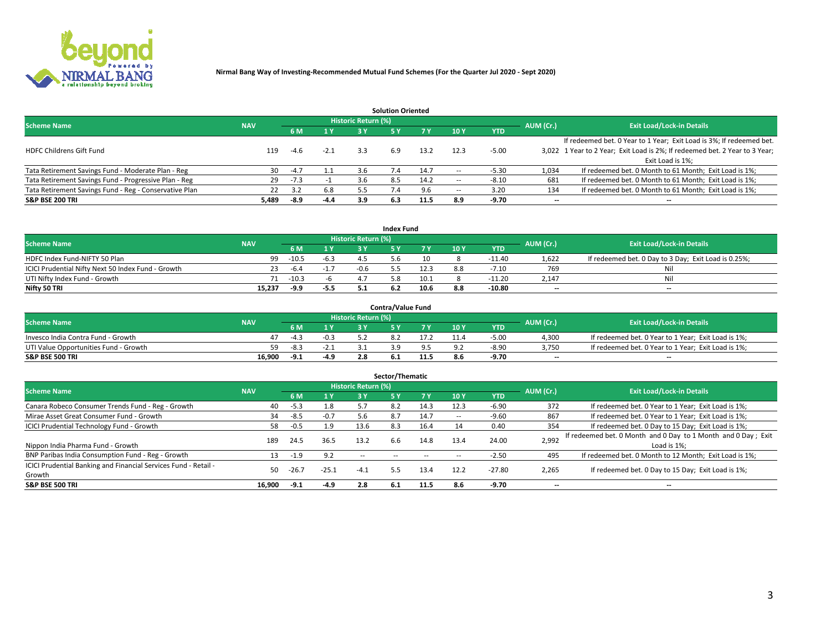

|                                                        |            |            |        |                            | <b>Solution Oriented</b> |      |                          |            |                          |                                                                             |
|--------------------------------------------------------|------------|------------|--------|----------------------------|--------------------------|------|--------------------------|------------|--------------------------|-----------------------------------------------------------------------------|
| <b>Scheme Name</b>                                     | <b>NAV</b> |            |        | <b>Historic Return (%)</b> |                          |      |                          |            | AUM (Cr.)                | <b>Exit Load/Lock-in Details</b>                                            |
|                                                        |            | <b>6 M</b> | 1 Y    | 3 Y                        |                          |      | 10Y                      | <b>YTD</b> |                          |                                                                             |
|                                                        |            |            |        |                            |                          |      |                          |            |                          | If redeemed bet. 0 Year to 1 Year; Exit Load is 3%; If redeemed bet.        |
| <b>HDFC Childrens Gift Fund</b>                        | 119        | $-4.6$     | $-2.1$ | 3.3                        | 6.9                      | 13.2 | 12.3                     | $-5.00$    |                          | 3,022 1 Year to 2 Year; Exit Load is 2%; If redeemed bet. 2 Year to 3 Year; |
|                                                        |            |            |        |                            |                          |      |                          |            |                          | Exit Load is 1%:                                                            |
| Tata Retirement Savings Fund - Moderate Plan - Reg     | 30         | $-4.7$     |        | 3.6                        |                          | 14.7 |                          | -5.30      | 1,034                    | If redeemed bet. 0 Month to 61 Month; Exit Load is 1%;                      |
| Tata Retirement Savings Fund - Progressive Plan - Reg  | 29         | $-7.3$     |        | -3.6                       | 8.5                      | 14.2 | $\overline{\phantom{a}}$ | $-8.10$    | 681                      | If redeemed bet. 0 Month to 61 Month; Exit Load is 1%;                      |
| Tata Retirement Savings Fund - Reg - Conservative Plan | 22         | 3.2        | 6.8    | 5.5                        |                          | 9.6  | -                        | 3.20       | 134                      | If redeemed bet. 0 Month to 61 Month; Exit Load is 1%;                      |
| S&P BSE 200 TRI                                        | 5,489      | -8.9       | $-4.4$ | 3.9                        | 6.3                      | 11.5 | 8.9                      | $-9.70$    | $\overline{\phantom{a}}$ | $- -$                                                                       |

|                                                    |            |         |                |                            | <b>Index Fund</b> |      |      |            |                          |                                                      |
|----------------------------------------------------|------------|---------|----------------|----------------------------|-------------------|------|------|------------|--------------------------|------------------------------------------------------|
| <b>Scheme Name</b>                                 | <b>NAV</b> |         |                | <b>Historic Return (%)</b> |                   |      |      |            | AUM (Cr.)                | <b>Exit Load/Lock-in Details</b>                     |
|                                                    |            |         | $\sqrt{1}$ $V$ | 2 V                        |                   | 7 V  | 10 Y | <b>YTD</b> |                          |                                                      |
| HDFC Index Fund-NIFTY 50 Plan                      | 99         | $-10.5$ | -6.3           |                            |                   |      |      | $-11.40$   | 1,622                    | If redeemed bet. 0 Day to 3 Day; Exit Load is 0.25%; |
| ICICI Prudential Nifty Next 50 Index Fund - Growth |            | -6.4    | $-1.7$         | $-0.6$                     |                   | 12.3 |      | $-7.10$    | 769                      | Nil                                                  |
| UTI Nifty Index Fund - Growth                      |            | $-10.3$ |                |                            |                   | 10.1 |      | $-11.20$   | 2,147                    | Nil                                                  |
| Nifty 50 TRI                                       | 15,237     | -9.9    | $-5.5$         |                            |                   | 10.6 | 8.8  | $-10.80$   | $\overline{\phantom{a}}$ | $- -$                                                |

|                                       |            |        |      |                            | <b>Contra/Value Fund</b> |      |     |            |                          |                                                     |
|---------------------------------------|------------|--------|------|----------------------------|--------------------------|------|-----|------------|--------------------------|-----------------------------------------------------|
| <b>Scheme Name</b>                    | <b>NAV</b> |        |      | <b>Historic Return (%)</b> |                          |      |     |            | AUM (Cr.)                | <b>Exit Load/Lock-in Details</b>                    |
|                                       |            |        | 1 V  |                            |                          | 7 V  | 10Y | <b>YTD</b> |                          |                                                     |
| Invesco India Contra Fund - Growth    |            | -4.3   |      |                            |                          |      |     | $-5.00$    | 4,300                    | If redeemed bet. 0 Year to 1 Year; Exit Load is 1%; |
| UTI Value Opportunities Fund - Growth | 59         | $-8.3$ | -2.i |                            |                          |      |     | $-8.90$    | 3,750                    | If redeemed bet. 0 Year to 1 Year; Exit Load is 1%; |
| <b>S&amp;P BSE 500 TRI</b>            | 16.900     | -9.1   | -4.9 |                            |                          | 11.5 |     | -9.70      | $\overline{\phantom{a}}$ | $- -$                                               |

| Sector/Thematic                                                           |            |        |         |                            |     |      |                          |            |           |                                                                              |  |  |  |  |
|---------------------------------------------------------------------------|------------|--------|---------|----------------------------|-----|------|--------------------------|------------|-----------|------------------------------------------------------------------------------|--|--|--|--|
| <b>Scheme Name</b>                                                        | <b>NAV</b> |        |         | <b>Historic Return (%)</b> |     |      |                          |            | AUM (Cr.) | <b>Exit Load/Lock-in Details</b>                                             |  |  |  |  |
|                                                                           |            | 6 M    | 1Y      | 3 Y                        | 5 Y |      | 10Y                      | <b>YTD</b> |           |                                                                              |  |  |  |  |
| Canara Robeco Consumer Trends Fund - Reg - Growth                         | 40         | $-5.3$ | 1.8     |                            | 8.2 | 14.3 | 12.3                     | $-6.90$    | 372       | If redeemed bet. 0 Year to 1 Year; Exit Load is 1%;                          |  |  |  |  |
| Mirae Asset Great Consumer Fund - Growth                                  | 34         | $-8.5$ | $-0.7$  | 5.6                        | 8.7 | 14.7 | $\overline{\phantom{a}}$ | $-9.60$    | 867       | If redeemed bet. 0 Year to 1 Year; Exit Load is 1%;                          |  |  |  |  |
| <b>ICICI Prudential Technology Fund - Growth</b>                          | 58         | $-0.5$ | 1.9     | 13.6                       | 8.3 | 16.4 |                          | 0.40       | 354       | If redeemed bet. 0 Day to 15 Day; Exit Load is 1%;                           |  |  |  |  |
| Nippon India Pharma Fund - Growth                                         | 189        | 24.5   | 36.5    | 13.2                       | 6.6 | 14.8 | 13.4                     | 24.00      | 2,992     | If redeemed bet. 0 Month and 0 Day to 1 Month and 0 Day; Exit<br>Load is 1%: |  |  |  |  |
| BNP Paribas India Consumption Fund - Reg - Growth                         | 13         | $-1.9$ | 9.2     | $\sim$ $-$                 |     |      |                          | $-2.50$    | 495       | If redeemed bet. 0 Month to 12 Month; Exit Load is 1%;                       |  |  |  |  |
| ICICI Prudential Banking and Financial Services Fund - Retail -<br>Growth | 50         | -26.7  | $-25.1$ | $-4.1$                     | 5.5 | 13.4 | 12.2                     | $-27.80$   | 2,265     | If redeemed bet. 0 Day to 15 Day; Exit Load is 1%;                           |  |  |  |  |
| <b>S&amp;P BSE 500 TRI</b>                                                | 16.900     | $-9.1$ | $-4.9$  | 2.8                        | 6.1 | 11.5 | 8.6                      | $-9.70$    | --        | $- -$                                                                        |  |  |  |  |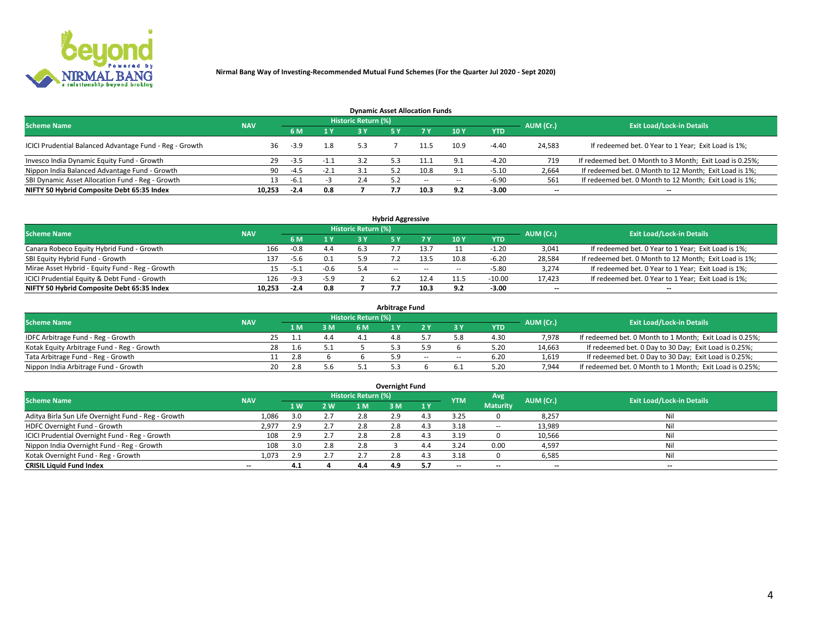

| <b>Dynamic Asset Allocation Funds</b>                   |            |                                  |        |     |  |        |                          |            |                          |                                                          |  |  |  |  |
|---------------------------------------------------------|------------|----------------------------------|--------|-----|--|--------|--------------------------|------------|--------------------------|----------------------------------------------------------|--|--|--|--|
| <b>Scheme Name</b>                                      | AUM (Cr.)  | <b>Exit Load/Lock-in Details</b> |        |     |  |        |                          |            |                          |                                                          |  |  |  |  |
|                                                         | <b>NAV</b> | 6 M                              | 1 Y    |     |  |        | 10Y                      | <b>YTD</b> |                          |                                                          |  |  |  |  |
| ICICI Prudential Balanced Advantage Fund - Reg - Growth | 36         | $-3.9$                           | 1.8    | 5.3 |  |        | 10.9                     | $-4.40$    | 24,583                   | If redeemed bet. 0 Year to 1 Year; Exit Load is 1%;      |  |  |  |  |
| Invesco India Dynamic Equity Fund - Growth              | -29        | $-3.5$                           | $-1.1$ |     |  |        |                          | $-4.20$    | 719                      | If redeemed bet. 0 Month to 3 Month; Exit Load is 0.25%; |  |  |  |  |
| Nippon India Balanced Advantage Fund - Growth           | 90         | $-4.5$                           | $-2.1$ |     |  | 10.8   |                          | $-5.10$    | 2,664                    | If redeemed bet. 0 Month to 12 Month; Exit Load is 1%;   |  |  |  |  |
| SBI Dynamic Asset Allocation Fund - Reg - Growth        | 13.        | -6.1                             |        | 2.4 |  | $\sim$ | $\overline{\phantom{a}}$ | $-6.90$    | 561                      | If redeemed bet. 0 Month to 12 Month; Exit Load is 1%;   |  |  |  |  |
| NIFTY 50 Hybrid Composite Debt 65:35 Index              | 10,253     | $-2.4$                           | 0.8    |     |  |        | 9.2                      | $-3.00$    | $\overline{\phantom{a}}$ |                                                          |  |  |  |  |

|                                                 |            |                                  |        |     | <b>Hybrid Aggressive</b> |        |      |            |                          |                                                        |
|-------------------------------------------------|------------|----------------------------------|--------|-----|--------------------------|--------|------|------------|--------------------------|--------------------------------------------------------|
| <b>Scheme Name</b>                              | AUM (Cr.)  | <b>Exit Load/Lock-in Details</b> |        |     |                          |        |      |            |                          |                                                        |
|                                                 | <b>NAV</b> | 6 M                              | 1 Y    |     |                          | 7 V    | 10Y  | <b>YTD</b> |                          |                                                        |
| Canara Robeco Equity Hybrid Fund - Growth       | 166        | -0.8                             | 4.4    | 6.3 |                          |        |      | 1.20       | 3,041                    | If redeemed bet. 0 Year to 1 Year; Exit Load is 1%;    |
| SBI Equity Hybrid Fund - Growth                 | 137        | -5.6                             | 0.1    | 5.9 |                          | 13.5   | 10.8 | $-6.20$    | 28,584                   | If redeemed bet. 0 Month to 12 Month; Exit Load is 1%; |
| Mirae Asset Hybrid - Equity Fund - Reg - Growth |            | $-5.1$                           | $-0.6$ | 5.4 | $\sim$ $\sim$            | $\sim$ | --   | -5.80      | 3,274                    | If redeemed bet. 0 Year to 1 Year; Exit Load is 1%;    |
| ICICI Prudential Equity & Debt Fund - Growth    | 126        | $-9.3$                           | $-5.9$ |     |                          | 12.4   |      | $-10.00$   | 17,423                   | If redeemed bet. 0 Year to 1 Year; Exit Load is 1%;    |
| NIFTY 50 Hybrid Composite Debt 65:35 Index      | 10.253     | $-2.4$                           | 0.8    |     |                          | 10.3   | 9.2  | $-3.00$    | $\overline{\phantom{a}}$ | $- -$                                                  |

| <b>Arbitrage Fund</b>                      |            |           |     |                     |  |        |        |            |           |                                                          |  |  |  |  |
|--------------------------------------------|------------|-----------|-----|---------------------|--|--------|--------|------------|-----------|----------------------------------------------------------|--|--|--|--|
| <b>Scheme Name</b>                         | <b>NAV</b> |           |     | Historic Return (%) |  |        |        |            | AUM (Cr.) | <b>Exit Load/Lock-in Details</b>                         |  |  |  |  |
|                                            |            | L M.      | 3 M | 6 M                 |  |        |        | <b>YTD</b> |           |                                                          |  |  |  |  |
| IDFC Arbitrage Fund - Reg - Growth         |            | 25        | 4.4 |                     |  |        |        | 4.30       | 7,978     | If redeemed bet. 0 Month to 1 Month; Exit Load is 0.25%; |  |  |  |  |
| Kotak Equity Arbitrage Fund - Reg - Growth | 28         | l.6       |     |                     |  |        |        | 5.20       | 14,663    | If redeemed bet. 0 Day to 30 Day; Exit Load is 0.25%;    |  |  |  |  |
| Tata Arbitrage Fund - Reg - Growth         |            | 2.8       |     |                     |  | $\sim$ | $\sim$ | 6.20       | 1,619     | If redeemed bet. 0 Day to 30 Day; Exit Load is 0.25%;    |  |  |  |  |
| Nippon India Arbitrage Fund - Growth       |            | 20<br>2.8 |     |                     |  |        |        | 5.20       | 7.944     | If redeemed bet. 0 Month to 1 Month; Exit Load is 0.25%; |  |  |  |  |

|                                                     |            |     |     |                     | Overnight Fund |     |            |                 |                          |                                  |
|-----------------------------------------------------|------------|-----|-----|---------------------|----------------|-----|------------|-----------------|--------------------------|----------------------------------|
| <b>Scheme Name</b>                                  | <b>NAV</b> |     |     | Historic Return (%) |                |     | <b>YTM</b> | Avg             | AUM (Cr.)                | <b>Exit Load/Lock-in Details</b> |
|                                                     |            | 1W  | 2 W | 1 M                 | : M            | 1Y  |            | <b>Maturity</b> |                          |                                  |
| Aditya Birla Sun Life Overnight Fund - Reg - Growth | 1,086      | 3.0 | 2.7 | 2.8                 | 2.9            |     | 3.25       |                 | 8,257                    | Nil                              |
| HDFC Overnight Fund - Growth                        | 2,977      | 2.9 | 2.7 | 2.8                 | 2.0            |     | 3.18       | $\sim$ $-$      | 13,989                   | Nil                              |
| ICICI Prudential Overnight Fund - Reg - Growth      | 108        | 2.9 | 2.7 | 2.8                 |                |     | 3.19       |                 | 10,566                   | Nil                              |
| Nippon India Overnight Fund - Reg - Growth          | 108        | 3.0 | 2.8 | 2.8                 |                | 4.4 | 3.24       | 0.00            | 4,597                    | Nil                              |
| Kotak Overnight Fund - Reg - Growth                 | 1,073      | 2.9 | 2.7 |                     | 2.8            |     | 3.18       |                 | 6,585                    | Nil                              |
| <b>CRISIL Liquid Fund Index</b>                     | $- -$      | 4.1 |     | 4.4                 | 4.9            |     | --         | $- -$           | $\overline{\phantom{a}}$ | $- -$                            |

#### **Overnight Fund**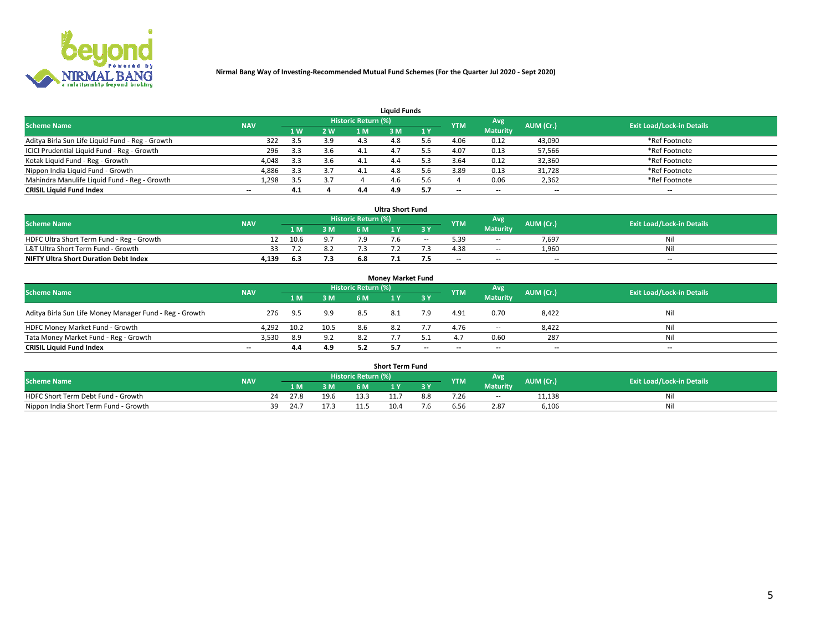

|                                                  |            |     |     |                     | <b>Liquid Funds</b> |     |            |                 |           |                                  |
|--------------------------------------------------|------------|-----|-----|---------------------|---------------------|-----|------------|-----------------|-----------|----------------------------------|
| <b>Scheme Name</b>                               | <b>NAV</b> |     |     | Historic Return (%) |                     |     | <b>YTM</b> | Avg             | AUM (Cr.) | <b>Exit Load/Lock-in Details</b> |
|                                                  |            | 4W  | 2 W | 1 M                 | M                   | 1 Y |            | <b>Maturity</b> |           |                                  |
| Aditya Birla Sun Life Liquid Fund - Reg - Growth | 322        | 3.5 | 3.9 | 4.3                 |                     |     | 4.06       | 0.12            | 43,090    | *Ref Footnote                    |
| ICICI Prudential Liquid Fund - Reg - Growth      | 296        | 3.3 | 3.6 | 4.1                 | 4.                  |     | 4.07       | 0.13            | 57,566    | *Ref Footnote                    |
| Kotak Liquid Fund - Reg - Growth                 | 4,048      | 3.3 | 3.6 |                     | 4.4                 |     | 3.64       | 0.12            | 32,360    | *Ref Footnote                    |
| Nippon India Liquid Fund - Growth                | 4,886      | 3.3 | 3.7 | 4.1                 | 4.8                 |     | 3.89       | 0.13            | 31,728    | *Ref Footnote                    |
| Mahindra Manulife Liquid Fund - Reg - Growth     | 1,298      | 3.5 | 3.7 |                     | 4.6                 | i h |            | 0.06            | 2,362     | *Ref Footnote                    |
| <b>CRISIL Liquid Fund Index</b>                  | $- -$      | 4.1 |     | 4.4                 | 4.9                 |     | --         | $- -$           | --        | $- -$                            |

|                                              |            |      |     |                            | <b>Ultra Short Fund</b> |        |            |                 |                          |                                  |
|----------------------------------------------|------------|------|-----|----------------------------|-------------------------|--------|------------|-----------------|--------------------------|----------------------------------|
| <b>Scheme Name</b>                           | <b>NAV</b> |      |     | <b>Historic Return (%)</b> |                         |        | <b>YTM</b> | <b>Avg</b>      | AUM (Cr.)                | <b>Exit Load/Lock-in Details</b> |
|                                              |            | 1 M. | 3 M | 6 M                        |                         | 3 Y    |            | <b>Maturity</b> |                          |                                  |
| HDFC Ultra Short Term Fund - Reg - Growth    |            | 10.6 | 9.7 |                            |                         | $\sim$ | 5.39       | $\sim$ $-$      | 7,697                    | Nil                              |
| L&T Ultra Short Term Fund - Growth           |            |      | 8.2 |                            |                         |        | 4.38       | $\sim$ $-$      | 1.960                    | Nil                              |
| <b>NIFTY Ultra Short Duration Debt Index</b> | 4,139      | 6.3  | 7.3 |                            |                         |        | $- -$      | $- -$           | $\overline{\phantom{a}}$ | $- -$                            |

| <b>Monev Market Fund</b>                                |            |      |      |                     |     |       |                          |                 |                          |                                  |  |  |  |  |
|---------------------------------------------------------|------------|------|------|---------------------|-----|-------|--------------------------|-----------------|--------------------------|----------------------------------|--|--|--|--|
| <b>Scheme Name</b>                                      | <b>NAV</b> |      |      | Historic Return (%) |     |       | <b>YTM</b>               | 'Avg            | AUM (Cr.)                | <b>Exit Load/Lock-in Details</b> |  |  |  |  |
|                                                         |            | 1 M  | 3 M  | 6 M                 |     | -3 Y  |                          | <b>Maturity</b> |                          |                                  |  |  |  |  |
| Aditya Birla Sun Life Money Manager Fund - Reg - Growth | 276        | 9.5  | 9.9  | 8.5                 | 8.1 | 7.9   | 4.91                     | 0.70            | 8,422                    | Nil                              |  |  |  |  |
| HDFC Money Market Fund - Growth                         | 4,292      | 10.2 | 10.5 | 8.6                 | 8.2 |       | 4.76                     | $\sim$ $\sim$   | 8,422                    | Nil                              |  |  |  |  |
| Tata Money Market Fund - Reg - Growth                   | 3,530      | 8.9  | 9.2  | 8.2                 |     |       |                          | 0.60            | 287                      | Nil                              |  |  |  |  |
| <b>CRISIL Liquid Fund Index</b>                         | $- -$      | 4.4  | 4.9  | 5.2                 |     | $- -$ | $\overline{\phantom{a}}$ | $-$             | $\overline{\phantom{a}}$ | $- -$                            |  |  |  |  |

|                                       |            |       |      |                     | <b>Short Term Fund</b> |     |      |                 |           |                                  |
|---------------------------------------|------------|-------|------|---------------------|------------------------|-----|------|-----------------|-----------|----------------------------------|
| <b>Scheme Name</b>                    | <b>NAV</b> |       |      | Historic Return (%) |                        |     | YTM  | Avg             | AUM (Cr.) | <b>Exit Load/Lock-in Details</b> |
|                                       |            | 1 M . | 3 M  | 6 M                 |                        | 2V  |      | <b>Maturity</b> |           |                                  |
| HDFC Short Term Debt Fund - Growth    |            | 27.8  | 19.6 |                     | 11.7                   | 8.8 | 7.26 | $\sim$ $-$      | 11,138    | M                                |
| Nippon India Short Term Fund - Growth | 39         | 24.1  |      |                     | 10.4                   |     | ว.5t | 2.87            | 6,106     | N                                |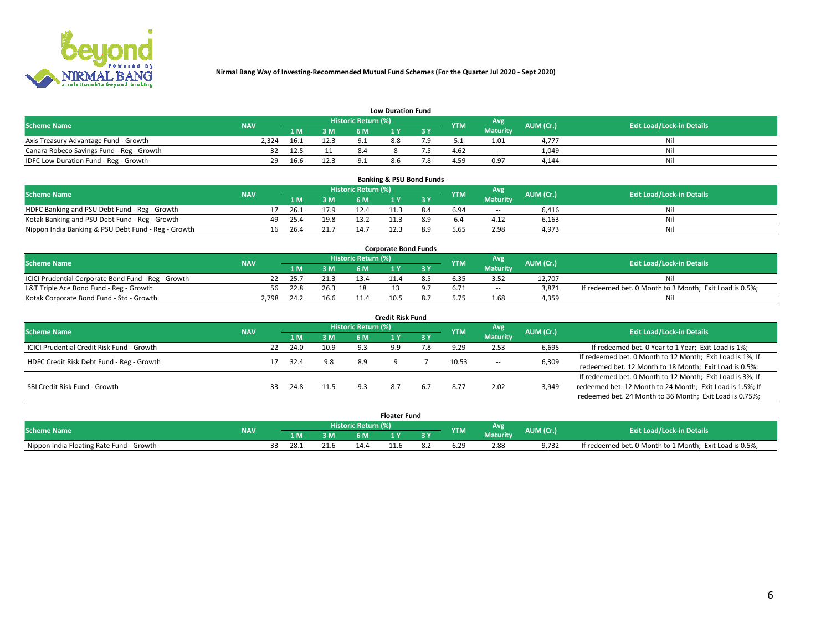

|                                           |            |      |      |                     | <b>Low Duration Fund</b> |     |            |                 |           |                                  |
|-------------------------------------------|------------|------|------|---------------------|--------------------------|-----|------------|-----------------|-----------|----------------------------------|
| <b>Scheme Name</b>                        | <b>NAV</b> |      |      | Historic Return (%) |                          |     | <b>YTM</b> | Avg             | AUM (Cr.) | <b>Exit Load/Lock-in Details</b> |
|                                           |            | L M. | 3 M  |                     |                          | 3 Y |            | <b>Maturity</b> |           |                                  |
| Axis Treasury Advantage Fund - Growth     | 2.324      | 16.1 | 12.3 |                     | 8.8                      |     |            | 1.01            | 4.777     | Nil                              |
| Canara Robeco Savings Fund - Reg - Growth |            | 12.5 |      |                     |                          |     | 4.62       | $- -$           | 1,049     | Nil                              |
| IDFC Low Duration Fund - Reg - Growth     | 29.        | 16.6 | 12.3 |                     |                          |     | 4.59       | 0.97            | 4,144     | Nil                              |

| <b>Banking &amp; PSU Bond Funds</b>                 |            |    |      |      |                     |  |     |            |                 |           |                                  |  |  |  |
|-----------------------------------------------------|------------|----|------|------|---------------------|--|-----|------------|-----------------|-----------|----------------------------------|--|--|--|
| <b>Scheme Name</b>                                  | <b>NAV</b> |    |      |      | Historic Return (%) |  |     | <b>YTM</b> | Avg             | AUM (Cr.) | <b>Exit Load/Lock-in Details</b> |  |  |  |
|                                                     |            |    | 1 M. | 3 M  | 6 M                 |  |     |            | <b>Maturity</b> |           |                                  |  |  |  |
| HDFC Banking and PSU Debt Fund - Reg - Growth       |            |    | 26.1 | 17.9 | 12.4                |  | 8.4 | 6.94       | $\sim$ $-$      | 6.416     | Ni                               |  |  |  |
| Kotak Banking and PSU Debt Fund - Reg - Growth      |            | 49 | 25.4 | 19.8 |                     |  |     |            | 4.12            | 6,163     | Ni                               |  |  |  |
| Nippon India Banking & PSU Debt Fund - Reg - Growth |            | 16 | 26.4 | 21.7 | 14.7                |  |     | 5.65       | 2.98            | 4,973     | Ni                               |  |  |  |

| <b>Corporate Bond Funds</b>                         |            |      |      |                            |      |  |            |            |           |                                                         |  |  |  |  |
|-----------------------------------------------------|------------|------|------|----------------------------|------|--|------------|------------|-----------|---------------------------------------------------------|--|--|--|--|
| <b>Scheme Name</b>                                  | <b>NAV</b> |      |      | <b>Historic Return (%)</b> |      |  | <b>YTM</b> | Avg        | AUM (Cr.) | <b>Exit Load/Lock-in Details</b>                        |  |  |  |  |
|                                                     |            |      | 3 M  | 6 M.                       |      |  |            | Maturity   |           |                                                         |  |  |  |  |
| ICICI Prudential Corporate Bond Fund - Reg - Growth |            | 25.7 | 21.3 | 13.4                       |      |  |            |            | 12.707    | Nil                                                     |  |  |  |  |
| L&T Triple Ace Bond Fund - Reg - Growth             | 56         | 22.8 | 26.3 |                            |      |  | 6.71       | $\sim$ $-$ | 3,871     | If redeemed bet. 0 Month to 3 Month; Exit Load is 0.5%; |  |  |  |  |
| Kotak Corporate Bond Fund - Std - Growth            | 2.798      | 24.7 | 16.6 |                            | 10.5 |  |            | 1.68       | 4,359     | Nil                                                     |  |  |  |  |

| Credit Risk Fund                           |            |    |      |      |                     |     |     |            |                 |           |                                                           |  |  |
|--------------------------------------------|------------|----|------|------|---------------------|-----|-----|------------|-----------------|-----------|-----------------------------------------------------------|--|--|
| <b>Scheme Name</b>                         | <b>NAV</b> |    |      |      | Historic Return (%) |     |     | <b>YTM</b> | Avg.            | AUM (Cr.) | <b>Exit Load/Lock-in Details</b>                          |  |  |
|                                            |            |    | 1 M  | 3M   | 6 M                 |     | 3 Y |            | <b>Maturity</b> |           |                                                           |  |  |
| ICICI Prudential Credit Risk Fund - Growth |            | 22 | 24.0 | 10.9 | 9.3                 | 9.9 | '.8 | 9.29       | 2.53            | 6,695     | If redeemed bet. 0 Year to 1 Year; Exit Load is 1%;       |  |  |
| HDFC Credit Risk Debt Fund - Reg - Growth  |            |    | 32.4 | 9.8  | 8.9                 |     |     | 10.53      |                 | 6,309     | If redeemed bet. 0 Month to 12 Month; Exit Load is 1%; If |  |  |
|                                            |            |    |      |      |                     |     |     |            | $\sim$ $-$      |           | redeemed bet. 12 Month to 18 Month; Exit Load is 0.5%;    |  |  |
|                                            |            |    |      |      |                     |     |     |            |                 |           | If redeemed bet. 0 Month to 12 Month; Exit Load is 3%; If |  |  |
| SBI Credit Risk Fund - Growth              |            | 33 | 24.8 | 11.5 |                     | 8.7 | 6.7 | 8.77       | 2.02            | 3,949     | redeemed bet. 12 Month to 24 Month; Exit Load is 1.5%; If |  |  |
|                                            |            |    |      |      |                     |     |     |            |                 |           | redeemed bet. 24 Month to 36 Month; Exit Load is 0.75%;   |  |  |

| <b>Floater Fund</b>                      |            |  |      |      |                     |     |     |            |                        |           |                                                         |
|------------------------------------------|------------|--|------|------|---------------------|-----|-----|------------|------------------------|-----------|---------------------------------------------------------|
| <b>Scheme Name</b>                       | <b>NAV</b> |  |      |      | Historic Return (%) |     |     | <b>YTM</b> | Avg<br><b>Maturity</b> | AUM (Cr.) | <b>Exit Load/Lock-in Details</b>                        |
|                                          |            |  | 1 M  | ЗM   | 6 M.                | . . | י כ |            |                        |           |                                                         |
| Nippon India Floating Rate Fund - Growth |            |  | 28.1 | 21.6 | 14.4                |     |     |            | 2.88                   | 9.732     | If redeemed bet. 0 Month to 1 Month; Exit Load is 0.5%; |